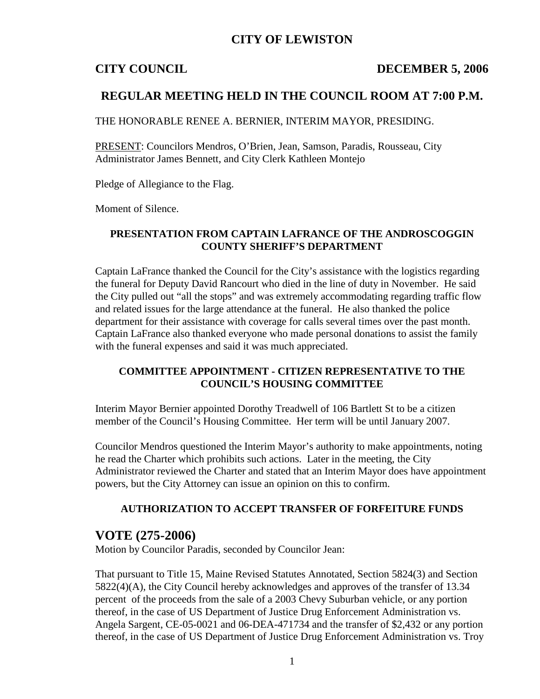## **CITY OF LEWISTON**

### **CITY COUNCIL DECEMBER 5, 2006**

## **REGULAR MEETING HELD IN THE COUNCIL ROOM AT 7:00 P.M.**

THE HONORABLE RENEE A. BERNIER, INTERIM MAYOR, PRESIDING.

PRESENT: Councilors Mendros, O'Brien, Jean, Samson, Paradis, Rousseau, City Administrator James Bennett, and City Clerk Kathleen Montejo

Pledge of Allegiance to the Flag.

Moment of Silence.

### **PRESENTATION FROM CAPTAIN LAFRANCE OF THE ANDROSCOGGIN COUNTY SHERIFF'S DEPARTMENT**

Captain LaFrance thanked the Council for the City's assistance with the logistics regarding the funeral for Deputy David Rancourt who died in the line of duty in November. He said the City pulled out "all the stops" and was extremely accommodating regarding traffic flow and related issues for the large attendance at the funeral. He also thanked the police department for their assistance with coverage for calls several times over the past month. Captain LaFrance also thanked everyone who made personal donations to assist the family with the funeral expenses and said it was much appreciated.

### **COMMITTEE APPOINTMENT - CITIZEN REPRESENTATIVE TO THE COUNCIL'S HOUSING COMMITTEE**

Interim Mayor Bernier appointed Dorothy Treadwell of 106 Bartlett St to be a citizen member of the Council's Housing Committee. Her term will be until January 2007.

Councilor Mendros questioned the Interim Mayor's authority to make appointments, noting he read the Charter which prohibits such actions. Later in the meeting, the City Administrator reviewed the Charter and stated that an Interim Mayor does have appointment powers, but the City Attorney can issue an opinion on this to confirm.

### **AUTHORIZATION TO ACCEPT TRANSFER OF FORFEITURE FUNDS**

## **VOTE (275-2006)**

Motion by Councilor Paradis, seconded by Councilor Jean:

That pursuant to Title 15, Maine Revised Statutes Annotated, Section 5824(3) and Section 5822(4)(A), the City Council hereby acknowledges and approves of the transfer of 13.34 percent of the proceeds from the sale of a 2003 Chevy Suburban vehicle, or any portion thereof, in the case of US Department of Justice Drug Enforcement Administration vs. Angela Sargent, CE-05-0021 and 06-DEA-471734 and the transfer of \$2,432 or any portion thereof, in the case of US Department of Justice Drug Enforcement Administration vs. Troy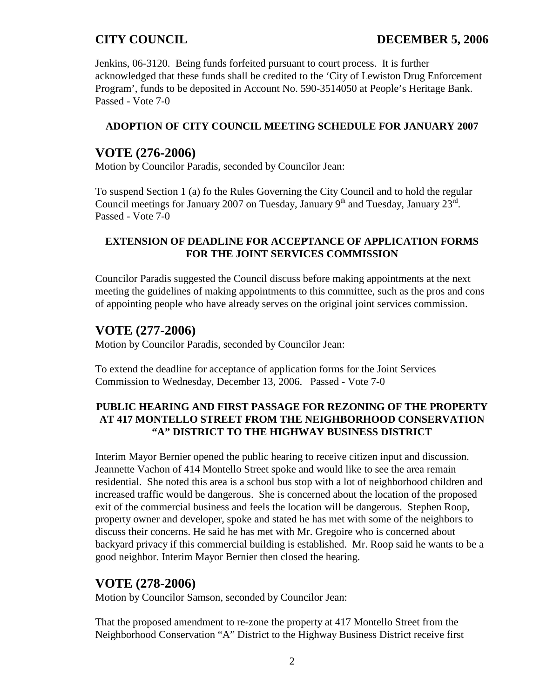Jenkins, 06-3120. Being funds forfeited pursuant to court process. It is further acknowledged that these funds shall be credited to the 'City of Lewiston Drug Enforcement Program', funds to be deposited in Account No. 590-3514050 at People's Heritage Bank. Passed - Vote 7-0

## **ADOPTION OF CITY COUNCIL MEETING SCHEDULE FOR JANUARY 2007**

# **VOTE (276-2006)**

Motion by Councilor Paradis, seconded by Councilor Jean:

To suspend Section 1 (a) fo the Rules Governing the City Council and to hold the regular Council meetings for January 2007 on Tuesday, January  $9<sup>th</sup>$  and Tuesday, January  $23<sup>rd</sup>$ . Passed - Vote 7-0

## **EXTENSION OF DEADLINE FOR ACCEPTANCE OF APPLICATION FORMS FOR THE JOINT SERVICES COMMISSION**

Councilor Paradis suggested the Council discuss before making appointments at the next meeting the guidelines of making appointments to this committee, such as the pros and cons of appointing people who have already serves on the original joint services commission.

# **VOTE (277-2006)**

Motion by Councilor Paradis, seconded by Councilor Jean:

To extend the deadline for acceptance of application forms for the Joint Services Commission to Wednesday, December 13, 2006. Passed - Vote 7-0

## **PUBLIC HEARING AND FIRST PASSAGE FOR REZONING OF THE PROPERTY AT 417 MONTELLO STREET FROM THE NEIGHBORHOOD CONSERVATION "A" DISTRICT TO THE HIGHWAY BUSINESS DISTRICT**

Interim Mayor Bernier opened the public hearing to receive citizen input and discussion. Jeannette Vachon of 414 Montello Street spoke and would like to see the area remain residential. She noted this area is a school bus stop with a lot of neighborhood children and increased traffic would be dangerous. She is concerned about the location of the proposed exit of the commercial business and feels the location will be dangerous. Stephen Roop, property owner and developer, spoke and stated he has met with some of the neighbors to discuss their concerns. He said he has met with Mr. Gregoire who is concerned about backyard privacy if this commercial building is established. Mr. Roop said he wants to be a good neighbor. Interim Mayor Bernier then closed the hearing.

# **VOTE (278-2006)**

Motion by Councilor Samson, seconded by Councilor Jean:

That the proposed amendment to re-zone the property at 417 Montello Street from the Neighborhood Conservation "A" District to the Highway Business District receive first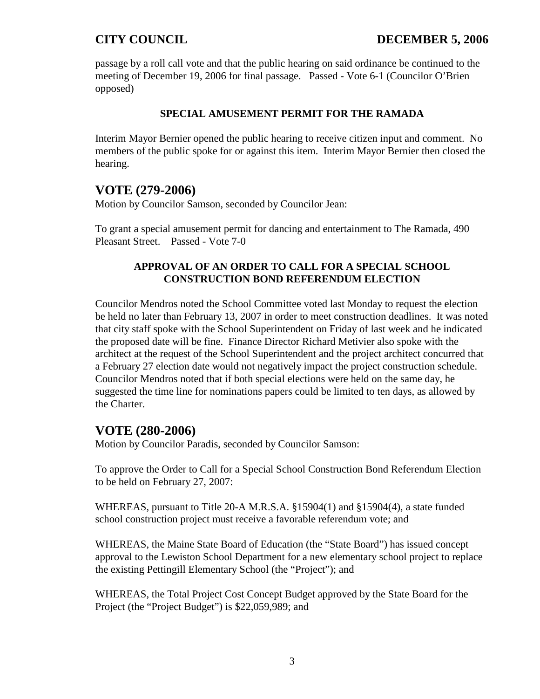passage by a roll call vote and that the public hearing on said ordinance be continued to the meeting of December 19, 2006 for final passage. Passed - Vote 6-1 (Councilor O'Brien opposed)

## **SPECIAL AMUSEMENT PERMIT FOR THE RAMADA**

Interim Mayor Bernier opened the public hearing to receive citizen input and comment. No members of the public spoke for or against this item. Interim Mayor Bernier then closed the hearing.

# **VOTE (279-2006)**

Motion by Councilor Samson, seconded by Councilor Jean:

To grant a special amusement permit for dancing and entertainment to The Ramada, 490 Pleasant Street. Passed - Vote 7-0

## **APPROVAL OF AN ORDER TO CALL FOR A SPECIAL SCHOOL CONSTRUCTION BOND REFERENDUM ELECTION**

Councilor Mendros noted the School Committee voted last Monday to request the election be held no later than February 13, 2007 in order to meet construction deadlines. It was noted that city staff spoke with the School Superintendent on Friday of last week and he indicated the proposed date will be fine. Finance Director Richard Metivier also spoke with the architect at the request of the School Superintendent and the project architect concurred that a February 27 election date would not negatively impact the project construction schedule. Councilor Mendros noted that if both special elections were held on the same day, he suggested the time line for nominations papers could be limited to ten days, as allowed by the Charter.

# **VOTE (280-2006)**

Motion by Councilor Paradis, seconded by Councilor Samson:

To approve the Order to Call for a Special School Construction Bond Referendum Election to be held on February 27, 2007:

WHEREAS, pursuant to Title 20-A M.R.S.A. §15904(1) and §15904(4), a state funded school construction project must receive a favorable referendum vote; and

WHEREAS, the Maine State Board of Education (the "State Board") has issued concept approval to the Lewiston School Department for a new elementary school project to replace the existing Pettingill Elementary School (the "Project"); and

WHEREAS, the Total Project Cost Concept Budget approved by the State Board for the Project (the "Project Budget") is \$22,059,989; and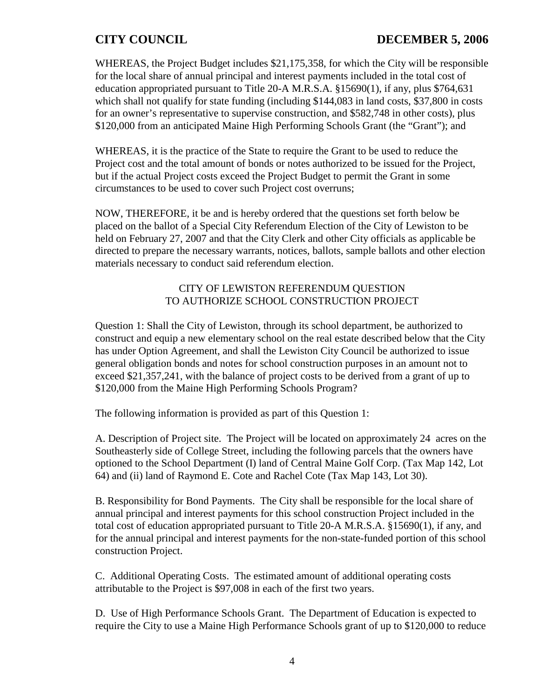WHEREAS, the Project Budget includes \$21,175,358, for which the City will be responsible for the local share of annual principal and interest payments included in the total cost of education appropriated pursuant to Title 20-A M.R.S.A. §15690(1), if any, plus \$764,631 which shall not qualify for state funding (including \$144,083 in land costs, \$37,800 in costs for an owner's representative to supervise construction, and \$582,748 in other costs), plus \$120,000 from an anticipated Maine High Performing Schools Grant (the "Grant"); and

WHEREAS, it is the practice of the State to require the Grant to be used to reduce the Project cost and the total amount of bonds or notes authorized to be issued for the Project, but if the actual Project costs exceed the Project Budget to permit the Grant in some circumstances to be used to cover such Project cost overruns;

NOW, THEREFORE, it be and is hereby ordered that the questions set forth below be placed on the ballot of a Special City Referendum Election of the City of Lewiston to be held on February 27, 2007 and that the City Clerk and other City officials as applicable be directed to prepare the necessary warrants, notices, ballots, sample ballots and other election materials necessary to conduct said referendum election.

## CITY OF LEWISTON REFERENDUM QUESTION TO AUTHORIZE SCHOOL CONSTRUCTION PROJECT

Question 1: Shall the City of Lewiston, through its school department, be authorized to construct and equip a new elementary school on the real estate described below that the City has under Option Agreement, and shall the Lewiston City Council be authorized to issue general obligation bonds and notes for school construction purposes in an amount not to exceed \$21,357,241, with the balance of project costs to be derived from a grant of up to \$120,000 from the Maine High Performing Schools Program?

The following information is provided as part of this Question 1:

A. Description of Project site. The Project will be located on approximately 24 acres on the Southeasterly side of College Street, including the following parcels that the owners have optioned to the School Department (I) land of Central Maine Golf Corp. (Tax Map 142, Lot 64) and (ii) land of Raymond E. Cote and Rachel Cote (Tax Map 143, Lot 30).

B. Responsibility for Bond Payments. The City shall be responsible for the local share of annual principal and interest payments for this school construction Project included in the total cost of education appropriated pursuant to Title 20-A M.R.S.A. §15690(1), if any, and for the annual principal and interest payments for the non-state-funded portion of this school construction Project.

C. Additional Operating Costs. The estimated amount of additional operating costs attributable to the Project is \$97,008 in each of the first two years.

D. Use of High Performance Schools Grant. The Department of Education is expected to require the City to use a Maine High Performance Schools grant of up to \$120,000 to reduce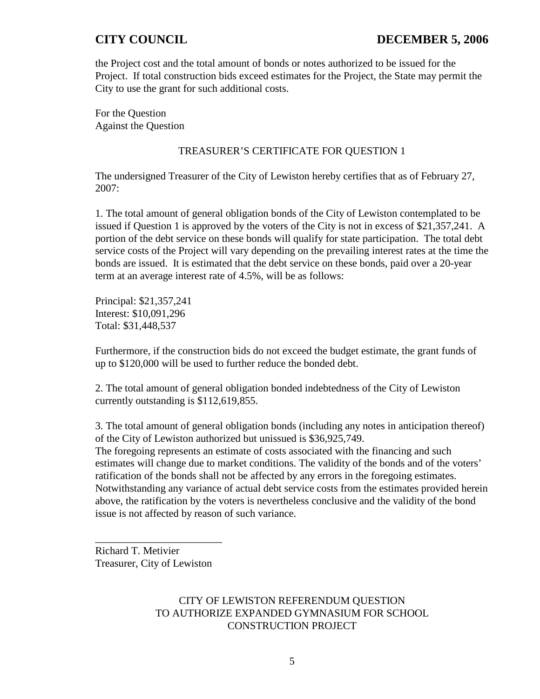the Project cost and the total amount of bonds or notes authorized to be issued for the Project. If total construction bids exceed estimates for the Project, the State may permit the City to use the grant for such additional costs.

For the Question Against the Question

### TREASURER'S CERTIFICATE FOR QUESTION 1

The undersigned Treasurer of the City of Lewiston hereby certifies that as of February 27, 2007:

1. The total amount of general obligation bonds of the City of Lewiston contemplated to be issued if Question 1 is approved by the voters of the City is not in excess of \$21,357,241. A portion of the debt service on these bonds will qualify for state participation. The total debt service costs of the Project will vary depending on the prevailing interest rates at the time the bonds are issued. It is estimated that the debt service on these bonds, paid over a 20-year term at an average interest rate of 4.5%, will be as follows:

Principal: \$21,357,241 Interest: \$10,091,296 Total: \$31,448,537

Furthermore, if the construction bids do not exceed the budget estimate, the grant funds of up to \$120,000 will be used to further reduce the bonded debt.

2. The total amount of general obligation bonded indebtedness of the City of Lewiston currently outstanding is \$112,619,855.

3. The total amount of general obligation bonds (including any notes in anticipation thereof) of the City of Lewiston authorized but unissued is \$36,925,749. The foregoing represents an estimate of costs associated with the financing and such estimates will change due to market conditions. The validity of the bonds and of the voters' ratification of the bonds shall not be affected by any errors in the foregoing estimates. Notwithstanding any variance of actual debt service costs from the estimates provided herein above, the ratification by the voters is nevertheless conclusive and the validity of the bond issue is not affected by reason of such variance.

Richard T. Metivier Treasurer, City of Lewiston

\_\_\_\_\_\_\_\_\_\_\_\_\_\_\_\_\_\_\_\_\_\_\_\_

CITY OF LEWISTON REFERENDUM QUESTION TO AUTHORIZE EXPANDED GYMNASIUM FOR SCHOOL CONSTRUCTION PROJECT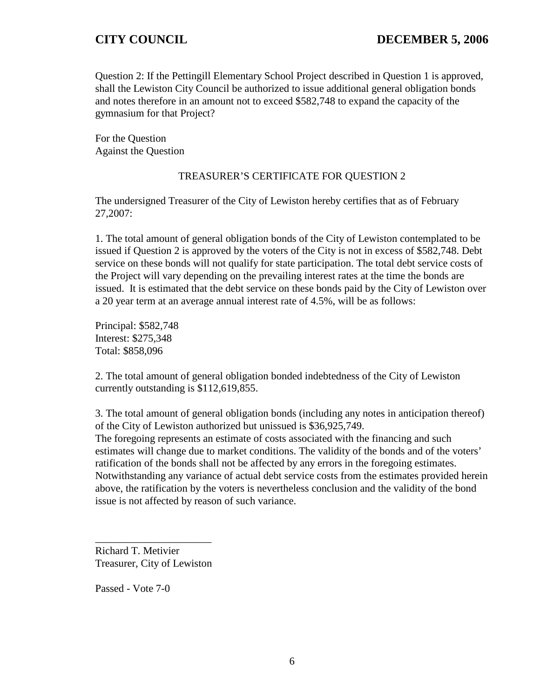Question 2: If the Pettingill Elementary School Project described in Question 1 is approved, shall the Lewiston City Council be authorized to issue additional general obligation bonds and notes therefore in an amount not to exceed \$582,748 to expand the capacity of the gymnasium for that Project?

For the Question Against the Question

## TREASURER'S CERTIFICATE FOR QUESTION 2

The undersigned Treasurer of the City of Lewiston hereby certifies that as of February 27,2007:

1. The total amount of general obligation bonds of the City of Lewiston contemplated to be issued if Question 2 is approved by the voters of the City is not in excess of \$582,748. Debt service on these bonds will not qualify for state participation. The total debt service costs of the Project will vary depending on the prevailing interest rates at the time the bonds are issued. It is estimated that the debt service on these bonds paid by the City of Lewiston over a 20 year term at an average annual interest rate of 4.5%, will be as follows:

Principal: \$582,748 Interest: \$275,348 Total: \$858,096

2. The total amount of general obligation bonded indebtedness of the City of Lewiston currently outstanding is \$112,619,855.

3. The total amount of general obligation bonds (including any notes in anticipation thereof) of the City of Lewiston authorized but unissued is \$36,925,749. The foregoing represents an estimate of costs associated with the financing and such estimates will change due to market conditions. The validity of the bonds and of the voters' ratification of the bonds shall not be affected by any errors in the foregoing estimates. Notwithstanding any variance of actual debt service costs from the estimates provided herein above, the ratification by the voters is nevertheless conclusion and the validity of the bond issue is not affected by reason of such variance.

Richard T. Metivier Treasurer, City of Lewiston

\_\_\_\_\_\_\_\_\_\_\_\_\_\_\_\_\_\_\_\_\_\_

Passed - Vote 7-0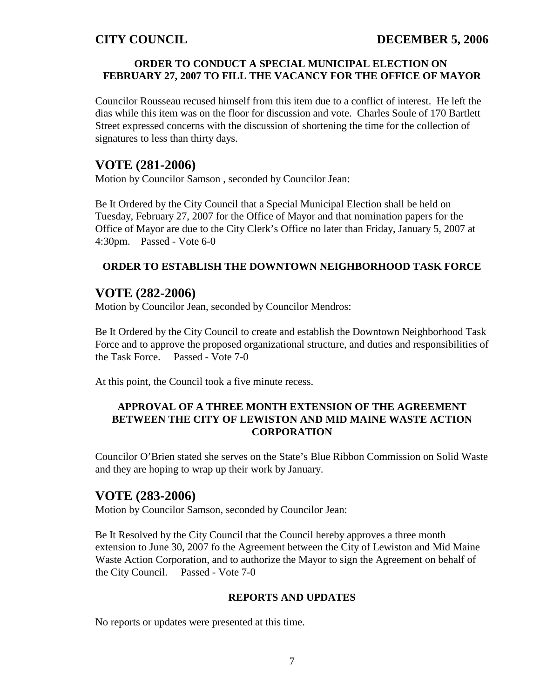## **ORDER TO CONDUCT A SPECIAL MUNICIPAL ELECTION ON FEBRUARY 27, 2007 TO FILL THE VACANCY FOR THE OFFICE OF MAYOR**

Councilor Rousseau recused himself from this item due to a conflict of interest. He left the dias while this item was on the floor for discussion and vote. Charles Soule of 170 Bartlett Street expressed concerns with the discussion of shortening the time for the collection of signatures to less than thirty days.

## **VOTE (281-2006)**

Motion by Councilor Samson , seconded by Councilor Jean:

Be It Ordered by the City Council that a Special Municipal Election shall be held on Tuesday, February 27, 2007 for the Office of Mayor and that nomination papers for the Office of Mayor are due to the City Clerk's Office no later than Friday, January 5, 2007 at 4:30pm. Passed - Vote 6-0

## **ORDER TO ESTABLISH THE DOWNTOWN NEIGHBORHOOD TASK FORCE**

# **VOTE (282-2006)**

Motion by Councilor Jean, seconded by Councilor Mendros:

Be It Ordered by the City Council to create and establish the Downtown Neighborhood Task Force and to approve the proposed organizational structure, and duties and responsibilities of the Task Force. Passed - Vote 7-0

At this point, the Council took a five minute recess.

## **APPROVAL OF A THREE MONTH EXTENSION OF THE AGREEMENT BETWEEN THE CITY OF LEWISTON AND MID MAINE WASTE ACTION CORPORATION**

Councilor O'Brien stated she serves on the State's Blue Ribbon Commission on Solid Waste and they are hoping to wrap up their work by January.

# **VOTE (283-2006)**

Motion by Councilor Samson, seconded by Councilor Jean:

Be It Resolved by the City Council that the Council hereby approves a three month extension to June 30, 2007 fo the Agreement between the City of Lewiston and Mid Maine Waste Action Corporation, and to authorize the Mayor to sign the Agreement on behalf of the City Council. Passed - Vote 7-0

### **REPORTS AND UPDATES**

No reports or updates were presented at this time.